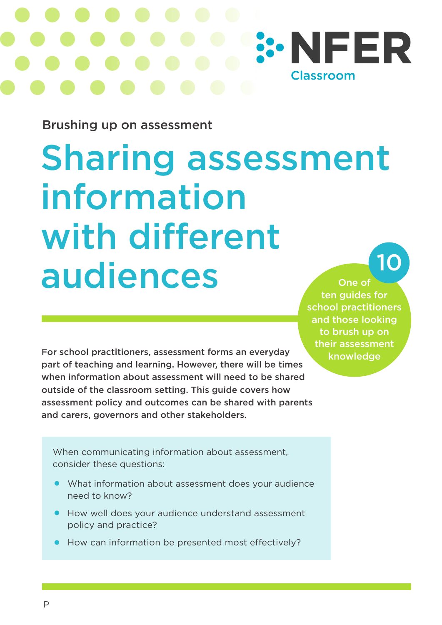

Brushing up on assessment

# Sharing assessment information with different audiences One of 10

ten guides for school practitioners and those looking to brush up on their assessment knowledge

For school practitioners, assessment forms an everyday part of teaching and learning. However, there will be times when information about assessment will need to be shared outside of the classroom setting. This guide covers how assessment policy and outcomes can be shared with parents and carers, governors and other stakeholders.

When communicating information about assessment, consider these questions:

- What information about assessment does your audience need to know?
- How well does your audience understand assessment policy and practice?
- How can information be presented most effectively?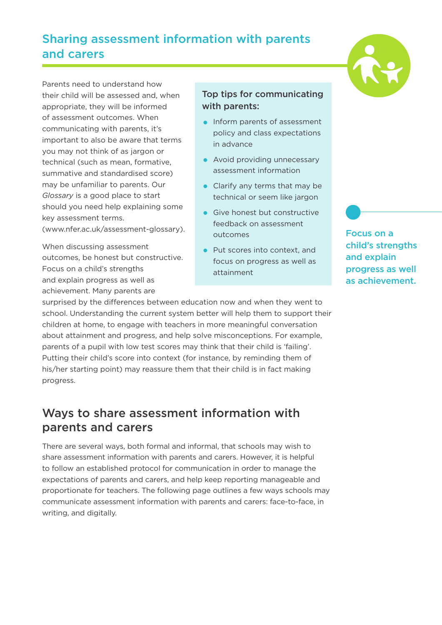### Sharing assessment information with parents and carers



Parents need to understand how their child will be assessed and, when appropriate, they will be informed of assessment outcomes. When communicating with parents, it's important to also be aware that terms you may not think of as jargon or technical (such as mean, formative, summative and standardised score) may be unfamiliar to parents. Our *Glossary* is a good place to start should you need help explaining some key assessment terms. (www.nfer.ac.uk/assessment-glossary).

When discussing assessment outcomes, be honest but constructive. Focus on a child's strengths and explain progress as well as achievement. Many parents are

#### Top tips for communicating with parents:

- Inform parents of assessment policy and class expectations in advance
- Avoid providing unnecessary assessment information
- Clarify any terms that may be technical or seem like jargon
- Give honest but constructive feedback on assessment outcomes
- Put scores into context, and focus on progress as well as attainment

surprised by the differences between education now and when they went to school. Understanding the current system better will help them to support their children at home, to engage with teachers in more meaningful conversation about attainment and progress, and help solve misconceptions. For example, parents of a pupil with low test scores may think that their child is 'failing'. Putting their child's score into context (for instance, by reminding them of his/her starting point) may reassure them that their child is in fact making progress.

#### Ways to share assessment information with parents and carers

There are several ways, both formal and informal, that schools may wish to share assessment information with parents and carers. However, it is helpful to follow an established protocol for communication in order to manage the expectations of parents and carers, and help keep reporting manageable and proportionate for teachers. The following page outlines a few ways schools may communicate assessment information with parents and carers: face-to-face, in writing, and digitally.

Focus on a child's strengths and explain progress as well as achievement.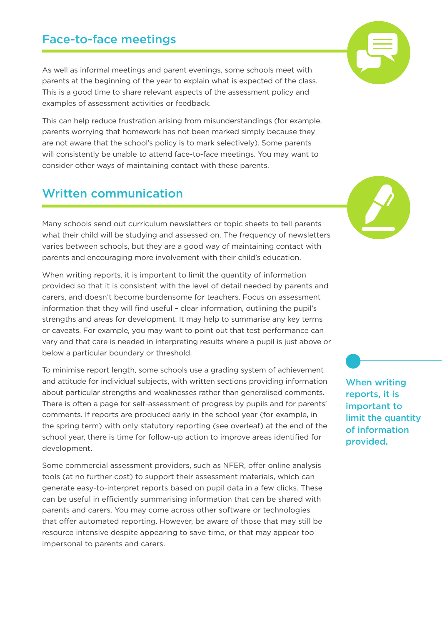#### Face-to-face meetings

As well as informal meetings and parent evenings, some schools meet with parents at the beginning of the year to explain what is expected of the class. This is a good time to share relevant aspects of the assessment policy and examples of assessment activities or feedback.

This can help reduce frustration arising from misunderstandings (for example, parents worrying that homework has not been marked simply because they are not aware that the school's policy is to mark selectively). Some parents will consistently be unable to attend face-to-face meetings. You may want to consider other ways of maintaining contact with these parents.

#### Written communication

Many schools send out curriculum newsletters or topic sheets to tell parents what their child will be studying and assessed on. The frequency of newsletters varies between schools, but they are a good way of maintaining contact with parents and encouraging more involvement with their child's education.

When writing reports, it is important to limit the quantity of information provided so that it is consistent with the level of detail needed by parents and carers, and doesn't become burdensome for teachers. Focus on assessment information that they will find useful – clear information, outlining the pupil's strengths and areas for development. It may help to summarise any key terms or caveats. For example, you may want to point out that test performance can vary and that care is needed in interpreting results where a pupil is just above or below a particular boundary or threshold.

To minimise report length, some schools use a grading system of achievement and attitude for individual subjects, with written sections providing information about particular strengths and weaknesses rather than generalised comments. There is often a page for self-assessment of progress by pupils and for parents' comments. If reports are produced early in the school year (for example, in the spring term) with only statutory reporting (see overleaf) at the end of the school year, there is time for follow-up action to improve areas identified for development.

Some commercial assessment providers, such as NFER, offer online analysis tools (at no further cost) to support their assessment materials, which can generate easy-to-interpret reports based on pupil data in a few clicks. These can be useful in efficiently summarising information that can be shared with parents and carers. You may come across other software or technologies that offer automated reporting. However, be aware of those that may still be resource intensive despite appearing to save time, or that may appear too impersonal to parents and carers.

When writing reports, it is important to limit the quantity of information provided.



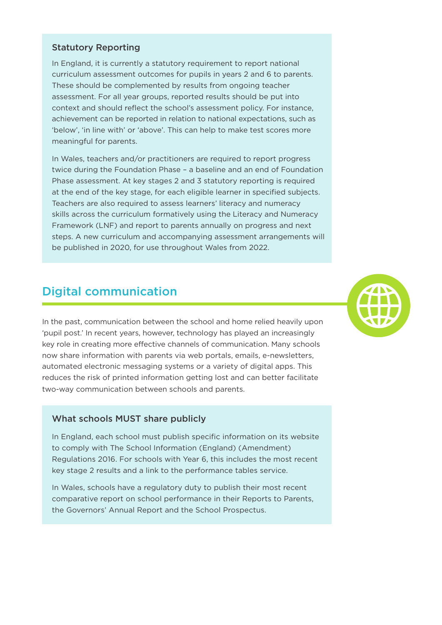#### Statutory Reporting

In England, it is currently a statutory requirement to report national curriculum assessment outcomes for pupils in years 2 and 6 to parents. These should be complemented by results from ongoing teacher assessment. For all year groups, reported results should be put into context and should reflect the school's assessment policy. For instance, achievement can be reported in relation to national expectations, such as 'below', 'in line with' or 'above'. This can help to make test scores more meaningful for parents.

In Wales, teachers and/or practitioners are required to report progress twice during the Foundation Phase – a baseline and an end of Foundation Phase assessment. At key stages 2 and 3 statutory reporting is required at the end of the key stage, for each eligible learner in specified subjects. Teachers are also required to assess learners' literacy and numeracy skills across the curriculum formatively using the Literacy and Numeracy Framework (LNF) and report to parents annually on progress and next steps. A new curriculum and accompanying assessment arrangements will be published in 2020, for use throughout Wales from 2022.

#### Digital communication

In the past, communication between the school and home relied heavily upon 'pupil post.' In recent years, however, technology has played an increasingly key role in creating more effective channels of communication. Many schools now share information with parents via web portals, emails, e-newsletters, automated electronic messaging systems or a variety of digital apps. This reduces the risk of printed information getting lost and can better facilitate two-way communication between schools and parents.

#### What schools MUST share publicly

In England, each school must publish specific information on its website to comply with The School Information (England) (Amendment) Regulations 2016. For schools with Year 6, this includes the most recent key stage 2 results and a link to the performance tables service.

In Wales, schools have a regulatory duty to publish their most recent comparative report on school performance in their Reports to Parents, the Governors' Annual Report and the School Prospectus.

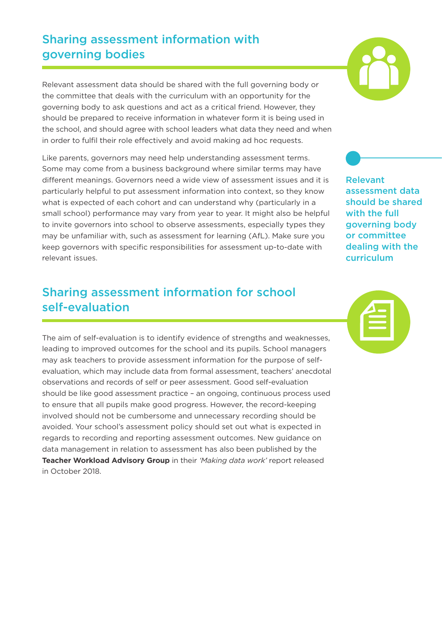### Sharing assessment information with governing bodies

Relevant assessment data should be shared with the full governing body or the committee that deals with the curriculum with an opportunity for the governing body to ask questions and act as a critical friend. However, they should be prepared to receive information in whatever form it is being used in the school, and should agree with school leaders what data they need and when in order to fulfil their role effectively and avoid making ad hoc requests.

Like parents, governors may need help understanding assessment terms. Some may come from a business background where similar terms may have different meanings. Governors need a wide view of assessment issues and it is particularly helpful to put assessment information into context, so they know what is expected of each cohort and can understand why (particularly in a small school) performance may vary from year to year. It might also be helpful to invite governors into school to observe assessments, especially types they may be unfamiliar with, such as assessment for learning (AfL). Make sure you keep governors with specific responsibilities for assessment up-to-date with relevant issues.

### Sharing assessment information for school self-evaluation

The aim of self-evaluation is to identify evidence of strengths and weaknesses, leading to improved outcomes for the school and its pupils. School managers may ask teachers to provide assessment information for the purpose of selfevaluation, which may include data from formal assessment, teachers' anecdotal observations and records of self or peer assessment. Good self-evaluation should be like good assessment practice – an ongoing, continuous process used to ensure that all pupils make good progress. However, the record-keeping involved should not be cumbersome and unnecessary recording should be avoided. Your school's assessment policy should set out what is expected in regards to recording and reporting assessment outcomes. New guidance on data management in relation to assessment has also been published by the **Teacher Workload Advisory Group** in their *'Making data work'* report released in October 2018.



Relevant assessment data should be shared with the full governing body or committee dealing with the curriculum